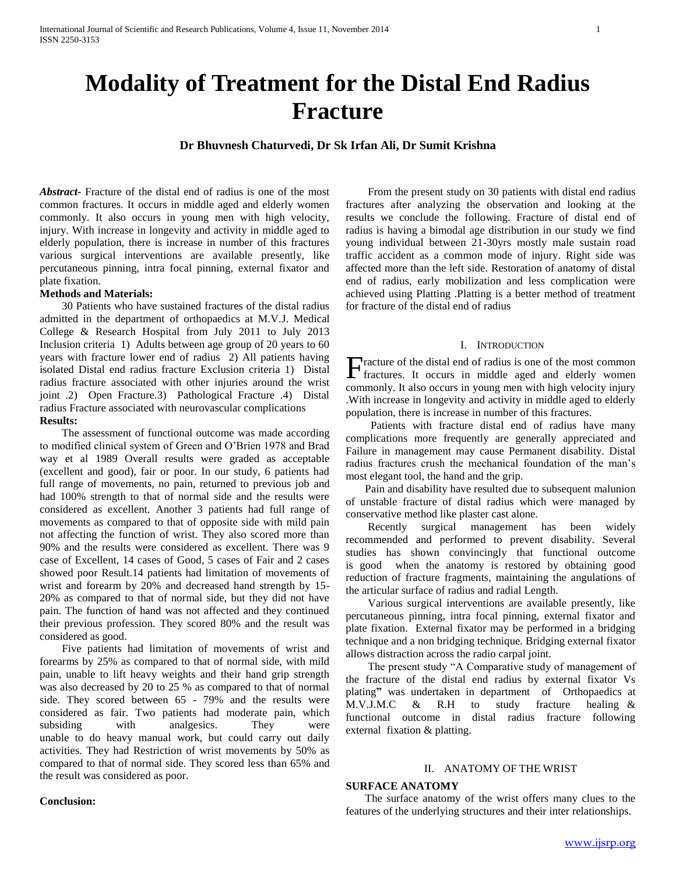# **Modality of Treatment for the Distal End Radius Fracture**

### **Dr Bhuvnesh Chaturvedi, Dr Sk Irfan Ali, Dr Sumit Krishna**

*Abstract***-** Fracture of the distal end of radius is one of the most common fractures. It occurs in middle aged and elderly women commonly. It also occurs in young men with high velocity, injury. With increase in longevity and activity in middle aged to elderly population, there is increase in number of this fractures various surgical interventions are available presently, like percutaneous pinning, intra focal pinning, external fixator and plate fixation.

#### **Methods and Materials:**

 30 Patients who have sustained fractures of the distal radius admitted in the department of orthopaedics at M.V.J. Medical College & Research Hospital from July 2011 to July 2013 Inclusion criteria 1) Adults between age group of 20 years to 60 years with fracture lower end of radius 2) All patients having isolated Distal end radius fracture Exclusion criteria 1) Distal radius fracture associated with other injuries around the wrist joint .2) Open Fracture.3) Pathological Fracture .4) Distal radius Fracture associated with neurovascular complications **Results:**

 The assessment of functional outcome was made according to modified clinical system of Green and O'Brien 1978 and Brad way et al 1989 Overall results were graded as acceptable (excellent and good), fair or poor. In our study, 6 patients had full range of movements, no pain, returned to previous job and had 100% strength to that of normal side and the results were considered as excellent. Another 3 patients had full range of movements as compared to that of opposite side with mild pain not affecting the function of wrist. They also scored more than 90% and the results were considered as excellent. There was 9 case of Excellent, 14 cases of Good, 5 cases of Fair and 2 cases showed poor Result.14 patients had limitation of movements of wrist and forearm by 20% and decreased hand strength by 15- 20% as compared to that of normal side, but they did not have pain. The function of hand was not affected and they continued their previous profession. They scored 80% and the result was considered as good.

 Five patients had limitation of movements of wrist and forearms by 25% as compared to that of normal side, with mild pain, unable to lift heavy weights and their hand grip strength was also decreased by 20 to 25 % as compared to that of normal side. They scored between 65 - 79% and the results were considered as fair. Two patients had moderate pain, which subsiding with analgesics. They were unable to do heavy manual work, but could carry out daily activities. They had Restriction of wrist movements by 50% as compared to that of normal side. They scored less than 65% and the result was considered as poor.

 From the present study on 30 patients with distal end radius fractures after analyzing the observation and looking at the results we conclude the following. Fracture of distal end of radius is having a bimodal age distribution in our study we find young individual between 21-30yrs mostly male sustain road traffic accident as a common mode of injury. Right side was affected more than the left side. Restoration of anatomy of distal end of radius, early mobilization and less complication were achieved using Platting .Platting is a better method of treatment for fracture of the distal end of radius

#### I. INTRODUCTION

racture of the distal end of radius is one of the most common Fracture of the distal end of radius is one of the most common fractures. It occurs in middle aged and elderly women commonly. It also occurs in young men with high velocity injury .With increase in longevity and activity in middle aged to elderly population, there is increase in number of this fractures.

 Patients with fracture distal end of radius have many complications more frequently are generally appreciated and Failure in management may cause Permanent disability. Distal radius fractures crush the mechanical foundation of the man's most elegant tool, the hand and the grip.

 Pain and disability have resulted due to subsequent malunion of unstable fracture of distal radius which were managed by conservative method like plaster cast alone.

 Recently surgical management has been widely recommended and performed to prevent disability. Several studies has shown convincingly that functional outcome is good when the anatomy is restored by obtaining good reduction of fracture fragments, maintaining the angulations of the articular surface of radius and radial Length.

 Various surgical interventions are available presently, like percutaneous pinning, intra focal pinning, external fixator and plate fixation. External fixator may be performed in a bridging technique and a non bridging technique. Bridging external fixator allows distraction across the radio carpal joint.

 The present study "A Comparative study of management of the fracture of the distal end radius by external fixator Vs plating**"** was undertaken in department of Orthopaedics at M.V.J.M.C & R.H to study fracture healing & functional outcome in distal radius fracture following external fixation & platting.

#### II. ANATOMY OF THE WRIST

#### **SURFACE ANATOMY**

 The surface anatomy of the wrist offers many clues to the features of the underlying structures and their inter relationships.

#### **Conclusion:**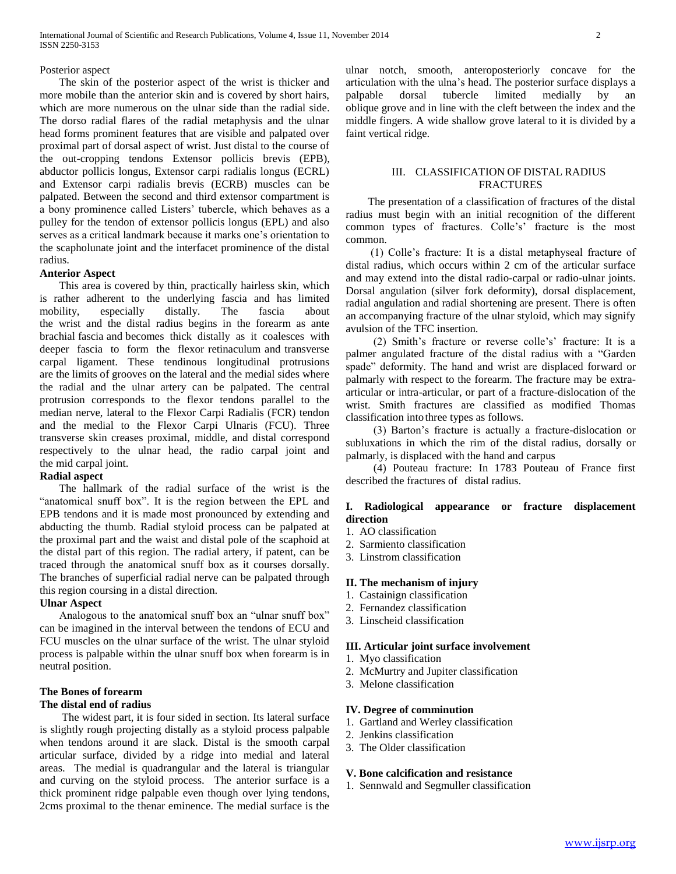#### Posterior aspect

 The skin of the posterior aspect of the wrist is thicker and more mobile than the anterior skin and is covered by short hairs, which are more numerous on the ulnar side than the radial side. The dorso radial flares of the radial metaphysis and the ulnar head forms prominent features that are visible and palpated over proximal part of dorsal aspect of wrist. Just distal to the course of the out-cropping tendons Extensor pollicis brevis (EPB), abductor pollicis longus, Extensor carpi radialis longus (ECRL) and Extensor carpi radialis brevis (ECRB) muscles can be palpated. Between the second and third extensor compartment is a bony prominence called Listers' tubercle, which behaves as a pulley for the tendon of extensor pollicis longus (EPL) and also serves as a critical landmark because it marks one's orientation to the scapholunate joint and the interfacet prominence of the distal radius.

#### **Anterior Aspect**

 This area is covered by thin, practically hairless skin, which is rather adherent to the underlying fascia and has limited mobility, especially distally. The fascia about the wrist and the distal radius begins in the forearm as ante brachial fascia and becomes thick distally as it coalesces with deeper fascia to form the flexor retinaculum and transverse carpal ligament. These tendinous longitudinal protrusions are the limits of grooves on the lateral and the medial sides where the radial and the ulnar artery can be palpated. The central protrusion corresponds to the flexor tendons parallel to the median nerve, lateral to the Flexor Carpi Radialis (FCR) tendon and the medial to the Flexor Carpi Ulnaris (FCU). Three transverse skin creases proximal, middle, and distal correspond respectively to the ulnar head, the radio carpal joint and the mid carpal joint.

#### **Radial aspect**

 The hallmark of the radial surface of the wrist is the "anatomical snuff box". It is the region between the EPL and EPB tendons and it is made most pronounced by extending and abducting the thumb. Radial styloid process can be palpated at the proximal part and the waist and distal pole of the scaphoid at the distal part of this region. The radial artery, if patent, can be traced through the anatomical snuff box as it courses dorsally. The branches of superficial radial nerve can be palpated through this region coursing in a distal direction.

#### **Ulnar Aspect**

 Analogous to the anatomical snuff box an "ulnar snuff box" can be imagined in the interval between the tendons of ECU and FCU muscles on the ulnar surface of the wrist. The ulnar styloid process is palpable within the ulnar snuff box when forearm is in neutral position.

#### **The Bones of forearm The distal end of radius**

 The widest part, it is four sided in section. Its lateral surface is slightly rough projecting distally as a styloid process palpable when tendons around it are slack. Distal is the smooth carpal articular surface, divided by a ridge into medial and lateral areas. The medial is quadrangular and the lateral is triangular and curving on the styloid process. The anterior surface is a thick prominent ridge palpable even though over lying tendons, 2cms proximal to the thenar eminence. The medial surface is the

ulnar notch, smooth, anteroposteriorly concave for the articulation with the ulna's head. The posterior surface displays a palpable dorsal tubercle limited medially by an oblique grove and in line with the cleft between the index and the middle fingers. A wide shallow grove lateral to it is divided by a faint vertical ridge.

#### III. CLASSIFICATION OF DISTAL RADIUS FRACTURES

 The presentation of a classification of fractures of the distal radius must begin with an initial recognition of the different common types of fractures. Colle's' fracture is the most common.

 (1) Colle's fracture: It is a distal metaphyseal fracture of distal radius, which occurs within 2 cm of the articular surface and may extend into the distal radio-carpal or radio-ulnar joints. Dorsal angulation (silver fork deformity), dorsal displacement, radial angulation and radial shortening are present. There is often an accompanying fracture of the ulnar styloid, which may signify avulsion of the TFC insertion.

 (2) Smith's fracture or reverse colle's' fracture: It is a palmer angulated fracture of the distal radius with a "Garden spade" deformity. The hand and wrist are displaced forward or palmarly with respect to the forearm. The fracture may be extraarticular or intra-articular, or part of a fracture-dislocation of the wrist. Smith fractures are classified as modified Thomas classification into three types as follows.

 (3) Barton's fracture is actually a fracture-dislocation or subluxations in which the rim of the distal radius, dorsally or palmarly, is displaced with the hand and carpus

 (4) Pouteau fracture: In 1783 Pouteau of France first described the fractures of distal radius.

#### **I. Radiological appearance or fracture displacement direction**

- 1. AO classification
- 2. Sarmiento classification
- 3. Linstrom classification

#### **II. The mechanism of injury**

- 1. Castainign classification
- 2. Fernandez classification
- 3. Linscheid classification

#### **III. Articular joint surface involvement**

- 1. Myo classification
- 2. McMurtry and Jupiter classification
- 3. Melone classification

#### **IV. Degree of comminution**

- 1. Gartland and Werley classification
- 2. Jenkins classification
- 3. The Older classification

#### **V. Bone calcification and resistance**

1. Sennwald and Segmuller classification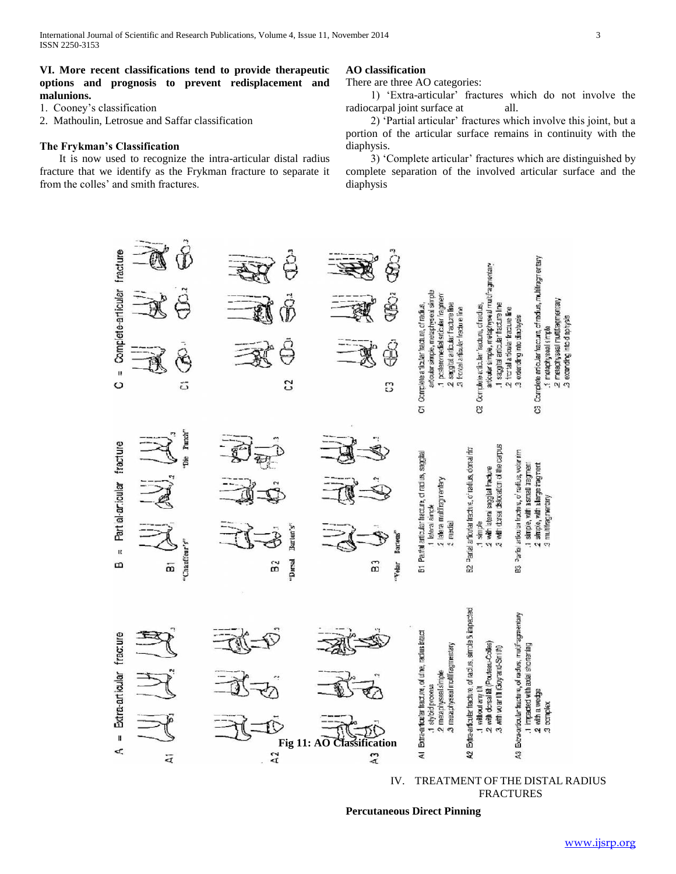#### **VI. More recent classifications tend to provide therapeutic options and prognosis to prevent redisplacement and malunions.**

1. Cooney's classification

2. Mathoulin, Letrosue and Saffar classification

#### **The Frykman's Classification**

 It is now used to recognize the intra-articular distal radius fracture that we identify as the Frykman fracture to separate it from the colles' and smith fractures.

#### **AO classification**

There are three AO categories:

 1) 'Extra-articular' fractures which do not involve the radiocarpal joint surface at all.

 2) 'Partial articular' fractures which involve this joint, but a portion of the articular surface remains in continuity with the diaphysis.

 3) 'Complete articular' fractures which are distinguished by complete separation of the involved articular surface and the diaphysis



IV. TREATMENT OF THE DISTAL RADIUS FRACTURES

**Percutaneous Direct Pinning**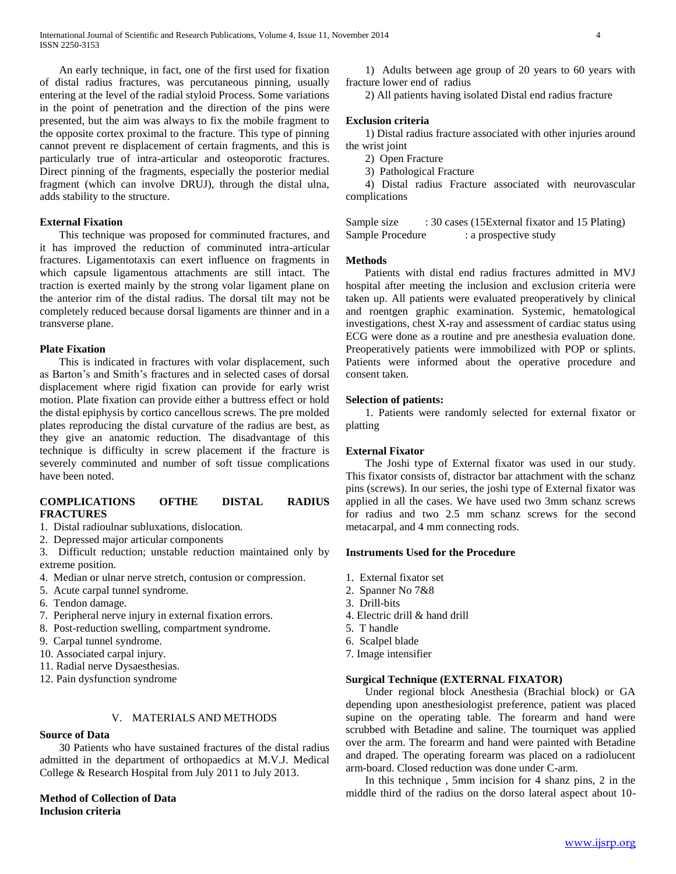An early technique, in fact, one of the first used for fixation of distal radius fractures, was percutaneous pinning, usually entering at the level of the radial styloid Process. Some variations in the point of penetration and the direction of the pins were presented, but the aim was always to fix the mobile fragment to the opposite cortex proximal to the fracture. This type of pinning cannot prevent re displacement of certain fragments, and this is particularly true of intra-articular and osteoporotic fractures. Direct pinning of the fragments, especially the posterior medial fragment (which can involve DRUJ), through the distal ulna, adds stability to the structure.

#### **External Fixation**

 This technique was proposed for comminuted fractures, and it has improved the reduction of comminuted intra-articular fractures. Ligamentotaxis can exert influence on fragments in which capsule ligamentous attachments are still intact. The traction is exerted mainly by the strong volar ligament plane on the anterior rim of the distal radius. The dorsal tilt may not be completely reduced because dorsal ligaments are thinner and in a transverse plane.

#### **Plate Fixation**

 This is indicated in fractures with volar displacement, such as Barton's and Smith's fractures and in selected cases of dorsal displacement where rigid fixation can provide for early wrist motion. Plate fixation can provide either a buttress effect or hold the distal epiphysis by cortico cancellous screws. The pre molded plates reproducing the distal curvature of the radius are best, as they give an anatomic reduction. The disadvantage of this technique is difficulty in screw placement if the fracture is severely comminuted and number of soft tissue complications have been noted.

#### **COMPLICATIONS OFTHE DISTAL RADIUS FRACTURES**

- 1. Distal radioulnar subluxations, dislocation.
- 2. Depressed major articular components
- 3. Difficult reduction; unstable reduction maintained only by extreme position.
- 4. Median or ulnar nerve stretch, contusion or compression.
- 5. Acute carpal tunnel syndrome.
- 6. Tendon damage.
- 7. Peripheral nerve injury in external fixation errors.
- 8. Post-reduction swelling, compartment syndrome.
- 9. Carpal tunnel syndrome.
- 10. Associated carpal injury.
- 11. Radial nerve Dysaesthesias.
- 12. Pain dysfunction syndrome

#### V. MATERIALS AND METHODS

#### **Source of Data**

 30 Patients who have sustained fractures of the distal radius admitted in the department of orthopaedics at M.V.J. Medical College & Research Hospital from July 2011 to July 2013.

#### **Method of Collection of Data Inclusion criteria**

 1) Adults between age group of 20 years to 60 years with fracture lower end of radius

2) All patients having isolated Distal end radius fracture

#### **Exclusion criteria**

 1) Distal radius fracture associated with other injuries around the wrist joint

- 2) Open Fracture
- 3) Pathological Fracture

 4) Distal radius Fracture associated with neurovascular complications

Sample size : 30 cases (15External fixator and 15 Plating) Sample Procedure : a prospective study

#### **Methods**

 Patients with distal end radius fractures admitted in MVJ hospital after meeting the inclusion and exclusion criteria were taken up. All patients were evaluated preoperatively by clinical and roentgen graphic examination. Systemic, hematological investigations, chest X-ray and assessment of cardiac status using ECG were done as a routine and pre anesthesia evaluation done. Preoperatively patients were immobilized with POP or splints. Patients were informed about the operative procedure and consent taken.

#### **Selection of patients:**

 1. Patients were randomly selected for external fixator or platting

#### **External Fixator**

 The Joshi type of External fixator was used in our study. This fixator consists of, distractor bar attachment with the schanz pins (screws). In our series, the joshi type of External fixator was applied in all the cases. We have used two 3mm schanz screws for radius and two 2.5 mm schanz screws for the second metacarpal, and 4 mm connecting rods.

#### **Instruments Used for the Procedure**

- 1. External fixator set
- 2. Spanner No 7&8
- 3. Drill-bits
- 4. Electric drill & hand drill
- 5. T handle
- 6. Scalpel blade
- 7. Image intensifier

#### **Surgical Technique (EXTERNAL FIXATOR)**

 Under regional block Anesthesia (Brachial block) or GA depending upon anesthesiologist preference, patient was placed supine on the operating table. The forearm and hand were scrubbed with Betadine and saline. The tourniquet was applied over the arm. The forearm and hand were painted with Betadine and draped. The operating forearm was placed on a radiolucent arm-board. Closed reduction was done under C-arm.

 In this technique , 5mm incision for 4 shanz pins, 2 in the middle third of the radius on the dorso lateral aspect about 10-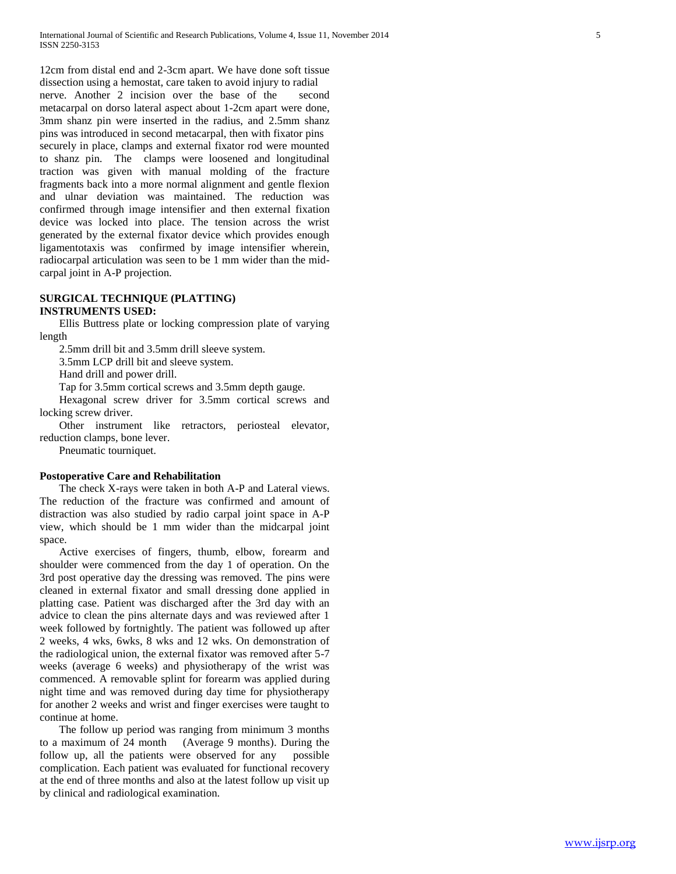12cm from distal end and 2-3cm apart. We have done soft tissue dissection using a hemostat, care taken to avoid injury to radial nerve. Another 2 incision over the base of the second metacarpal on dorso lateral aspect about 1-2cm apart were done, 3mm shanz pin were inserted in the radius, and 2.5mm shanz pins was introduced in second metacarpal, then with fixator pins securely in place, clamps and external fixator rod were mounted to shanz pin. The clamps were loosened and longitudinal traction was given with manual molding of the fracture fragments back into a more normal alignment and gentle flexion and ulnar deviation was maintained. The reduction was confirmed through image intensifier and then external fixation device was locked into place. The tension across the wrist generated by the external fixator device which provides enough ligamentotaxis was confirmed by image intensifier wherein, radiocarpal articulation was seen to be 1 mm wider than the midcarpal joint in A-P projection.

#### **SURGICAL TECHNIQUE (PLATTING) INSTRUMENTS USED:**

 Ellis Buttress plate or locking compression plate of varying length

2.5mm drill bit and 3.5mm drill sleeve system.

3.5mm LCP drill bit and sleeve system.

Hand drill and power drill.

Tap for 3.5mm cortical screws and 3.5mm depth gauge.

 Hexagonal screw driver for 3.5mm cortical screws and locking screw driver.

 Other instrument like retractors, periosteal elevator, reduction clamps, bone lever.

Pneumatic tourniquet.

#### **Postoperative Care and Rehabilitation**

 The check X-rays were taken in both A-P and Lateral views. The reduction of the fracture was confirmed and amount of distraction was also studied by radio carpal joint space in A-P view, which should be 1 mm wider than the midcarpal joint space.

 Active exercises of fingers, thumb, elbow, forearm and shoulder were commenced from the day 1 of operation. On the 3rd post operative day the dressing was removed. The pins were cleaned in external fixator and small dressing done applied in platting case. Patient was discharged after the 3rd day with an advice to clean the pins alternate days and was reviewed after 1 week followed by fortnightly. The patient was followed up after 2 weeks, 4 wks, 6wks, 8 wks and 12 wks. On demonstration of the radiological union, the external fixator was removed after 5-7 weeks (average 6 weeks) and physiotherapy of the wrist was commenced. A removable splint for forearm was applied during night time and was removed during day time for physiotherapy for another 2 weeks and wrist and finger exercises were taught to continue at home.

 The follow up period was ranging from minimum 3 months to a maximum of 24 month (Average 9 months). During the follow up, all the patients were observed for any possible complication. Each patient was evaluated for functional recovery at the end of three months and also at the latest follow up visit up by clinical and radiological examination.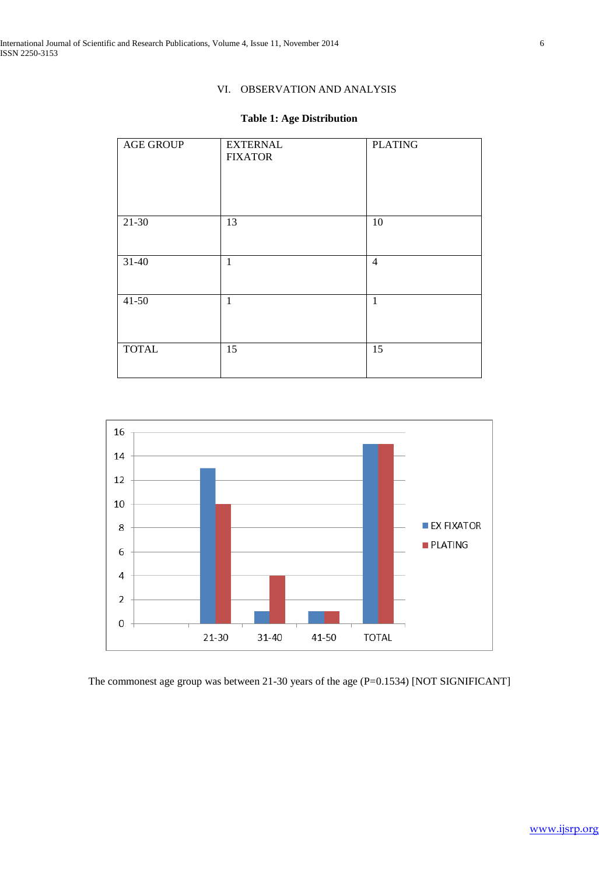# VI. OBSERVATION AND ANALYSIS

# **Table 1: Age Distribution**

| <b>AGE GROUP</b> | <b>EXTERNAL</b><br><b>FIXATOR</b> | <b>PLATING</b> |
|------------------|-----------------------------------|----------------|
|                  |                                   |                |
| $21 - 30$        | 13                                | $10\,$         |
| $31-40$          | $\mathbf{1}$                      | $\overline{4}$ |
| $41 - 50$        | $\mathbf{1}$                      | $\mathbf{1}$   |
| <b>TOTAL</b>     | 15                                | 15             |



The commonest age group was between 21-30 years of the age (P=0.1534) [NOT SIGNIFICANT]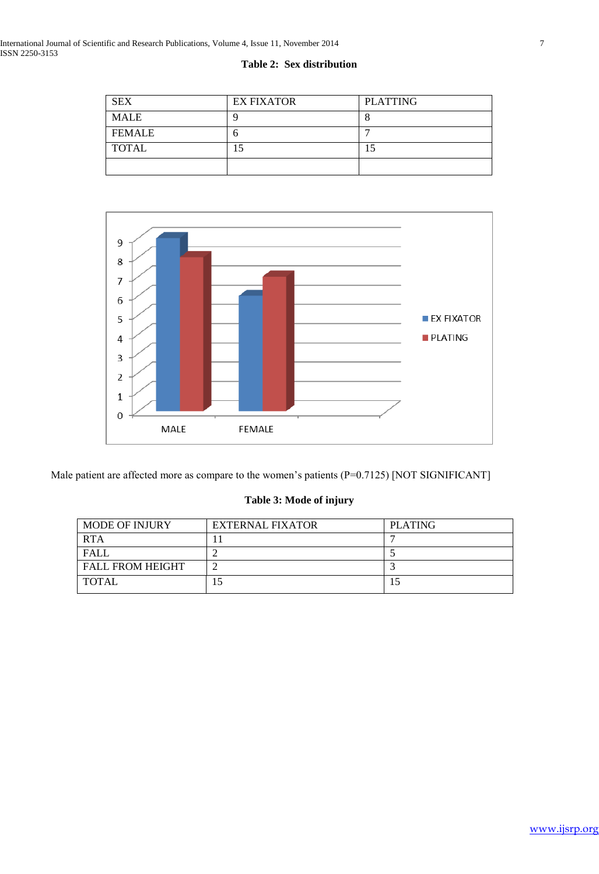| <b>SEX</b>    | <b>EX FIXATOR</b> | <b>PLATTING</b> |
|---------------|-------------------|-----------------|
| <b>MALE</b>   |                   |                 |
| <b>FEMALE</b> |                   |                 |
| <b>TOTAL</b>  | .5                |                 |
|               |                   |                 |





Male patient are affected more as compare to the women's patients (P=0.7125) [NOT SIGNIFICANT]

# **Table 3: Mode of injury**

| <b>MODE OF INJURY</b>   | <b>EXTERNAL FIXATOR</b> | <b>PLATING</b> |
|-------------------------|-------------------------|----------------|
| <b>RTA</b>              |                         |                |
| <b>FALL</b>             |                         |                |
| <b>FALL FROM HEIGHT</b> |                         |                |
| <b>TOTAL</b>            | - 1                     |                |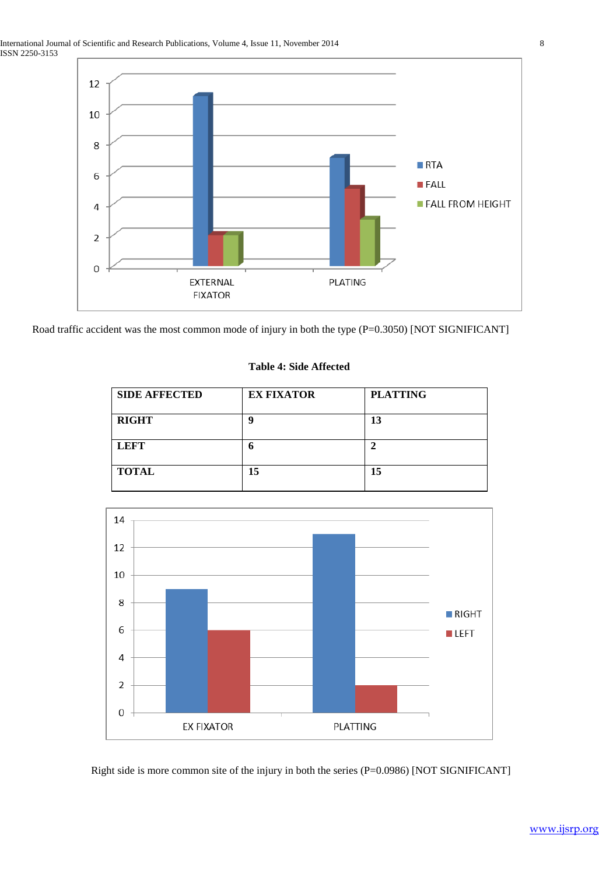

Road traffic accident was the most common mode of injury in both the type (P=0.3050) [NOT SIGNIFICANT]

### **Table 4: Side Affected**

| <b>SIDE AFFECTED</b> | <b>EX FIXATOR</b> | <b>PLATTING</b> |
|----------------------|-------------------|-----------------|
| <b>RIGHT</b>         | g                 | 13              |
| <b>LEFT</b>          | n                 |                 |
| <b>TOTAL</b>         | 15                | 15              |



Right side is more common site of the injury in both the series (P=0.0986) [NOT SIGNIFICANT]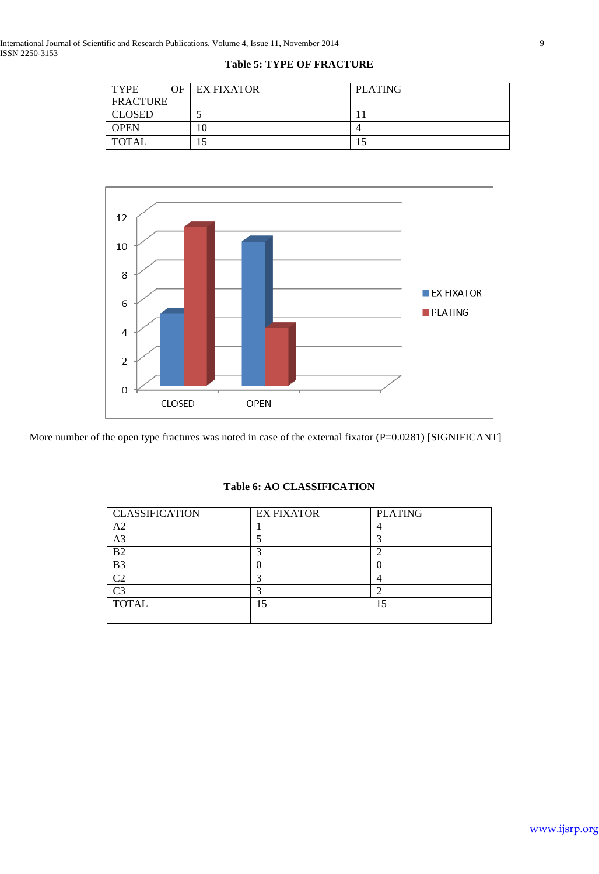| <b>TYPE</b>     | <b>OF LEX FIXATOR</b> | <b>PLATING</b> |
|-----------------|-----------------------|----------------|
| <b>FRACTURE</b> |                       |                |
| <b>CLOSED</b>   |                       |                |
| <b>OPEN</b>     | 10                    |                |
| TOTAL           |                       |                |



More number of the open type fractures was noted in case of the external fixator (P=0.0281) [SIGNIFICANT]

| <b>CLASSIFICATION</b> | <b>EX FIXATOR</b> | <b>PLATING</b> |
|-----------------------|-------------------|----------------|
| A <sub>2</sub>        |                   |                |
| A <sub>3</sub>        |                   |                |
| B2                    |                   |                |
| B <sub>3</sub>        |                   |                |
| مب                    |                   |                |
| ۲3                    |                   |                |
| <b>TOTAL</b>          | 15                |                |
|                       |                   |                |

# **Table 6: AO CLASSIFICATION**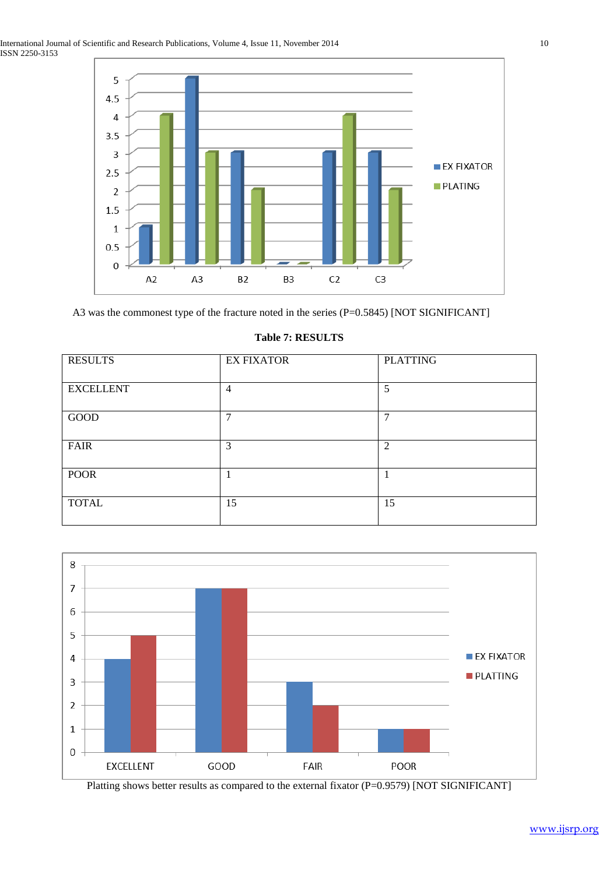

A3 was the commonest type of the fracture noted in the series (P=0.5845) [NOT SIGNIFICANT]

| <b>RESULTS</b>   | <b>EX FIXATOR</b> | <b>PLATTING</b> |
|------------------|-------------------|-----------------|
| <b>EXCELLENT</b> | $\overline{4}$    | 5               |
| GOOD             | 7                 | $\mathbf{r}$    |
| <b>FAIR</b>      | 3                 | 2               |
| <b>POOR</b>      |                   |                 |
| <b>TOTAL</b>     | 15                | 15              |

#### **Table 7: RESULTS**



Platting shows better results as compared to the external fixator (P=0.9579) [NOT SIGNIFICANT]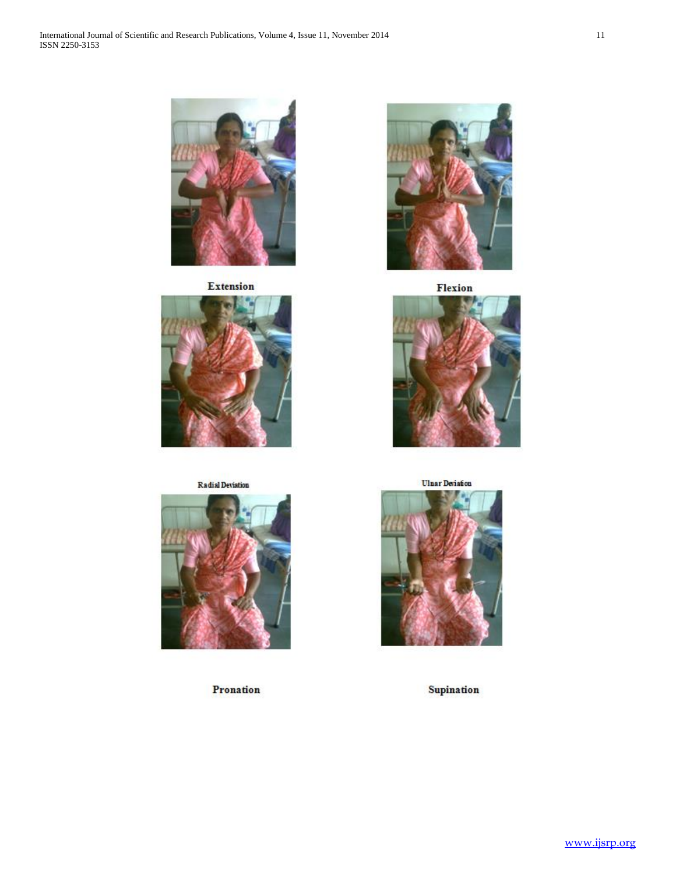

**Extension** 



# **Radial Devistion**



Pronation



Flexion



**Ulnar Deriation** 



Supination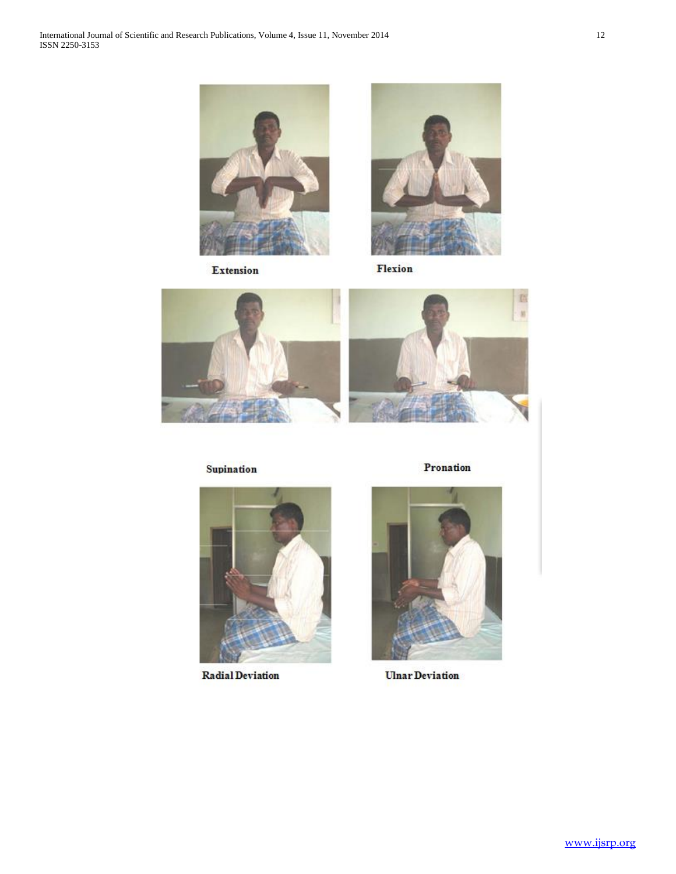

Extension



Flexion



Supination



**Radial Deviation** 

Pronation



**Ulnar Deviation**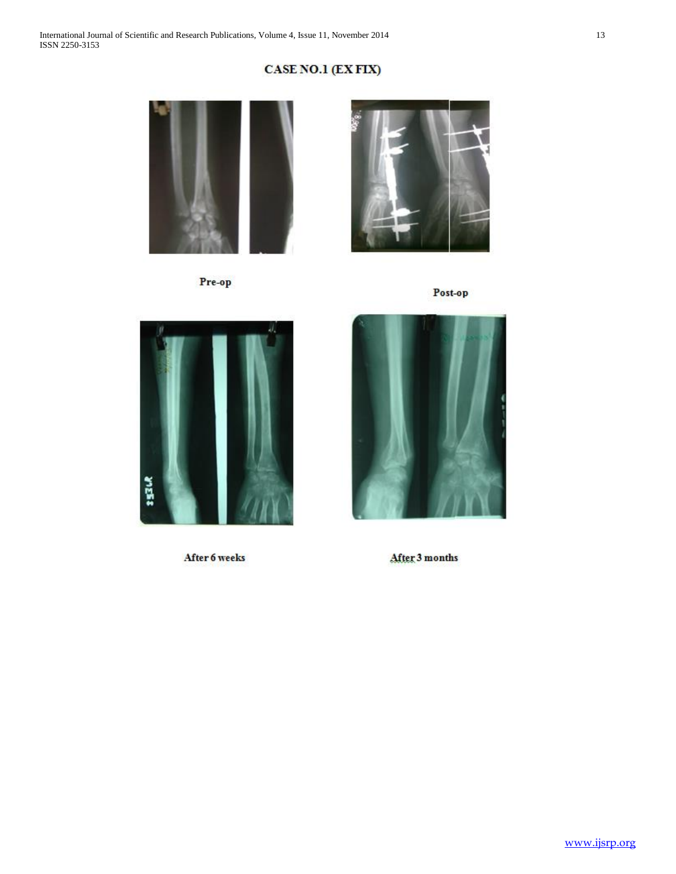# CASE NO.1 (EX FIX)



Pre-op



Post-op



After 6 weeks



After 3 months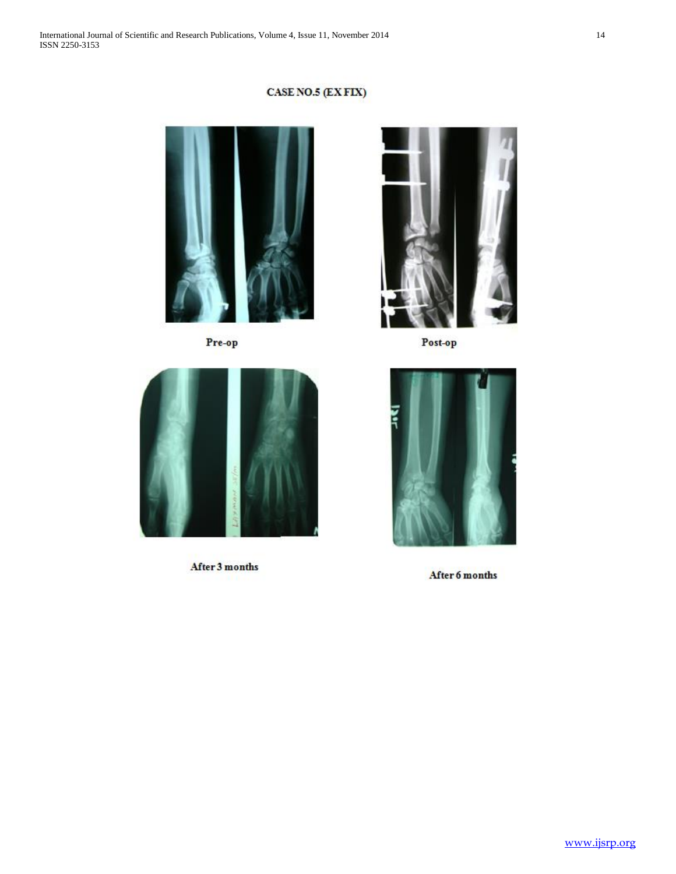# CASE NO.5 (EXFIX)



Pre-op



Post-op



After 3 months



After 6 months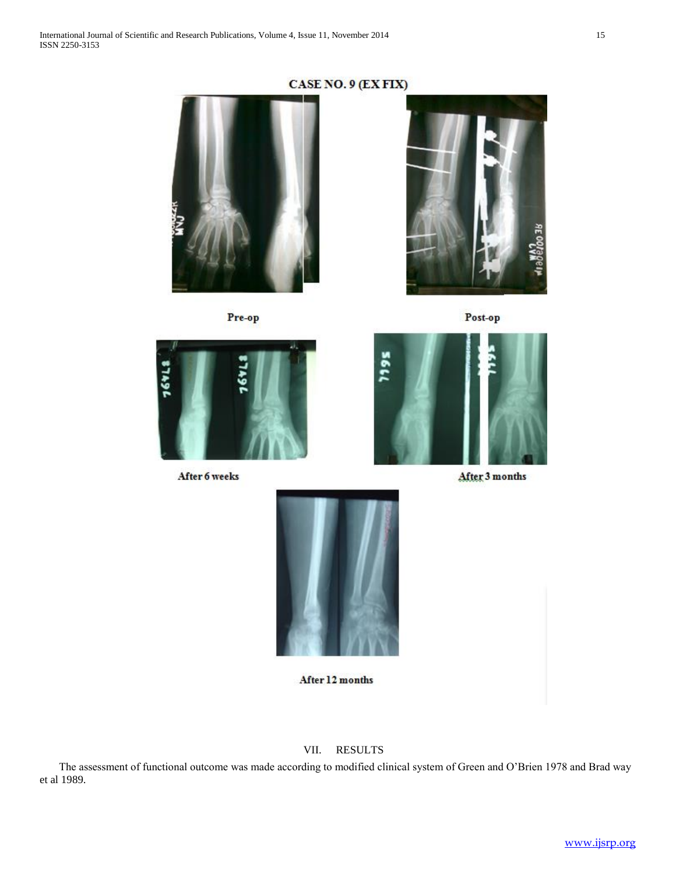



Pre-op



Post-op



After 6 weeks



After 3 months



After 12 months

## VII. RESULTS

 The assessment of functional outcome was made according to modified clinical system of Green and O'Brien 1978 and Brad way et al 1989.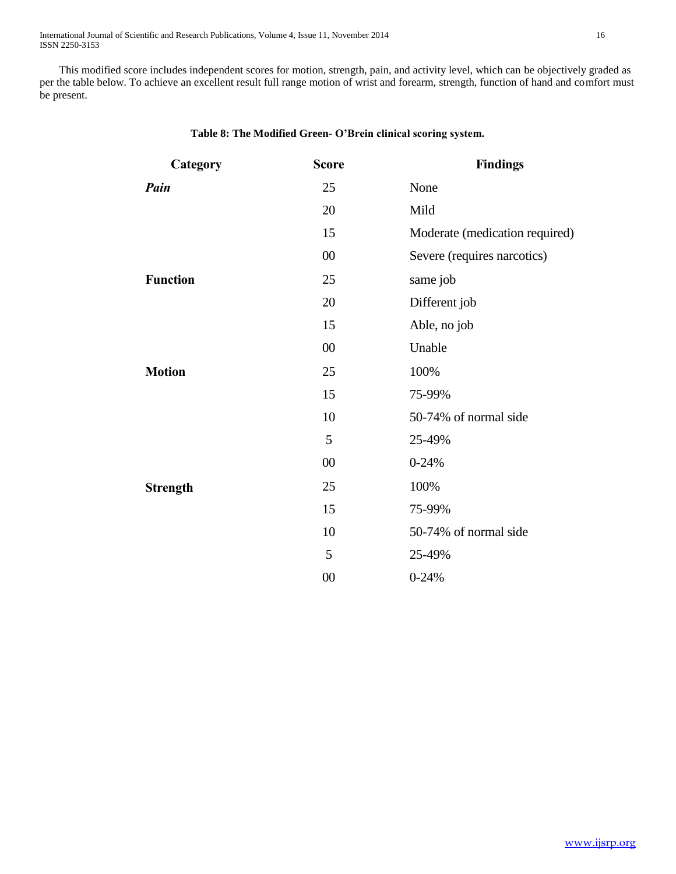This modified score includes independent scores for motion, strength, pain, and activity level, which can be objectively graded as per the table below. To achieve an excellent result full range motion of wrist and forearm, strength, function of hand and comfort must be present.

| Category        | <b>Score</b> | <b>Findings</b>                |
|-----------------|--------------|--------------------------------|
| Pain            | 25           | None                           |
|                 | 20           | Mild                           |
|                 | 15           | Moderate (medication required) |
|                 | 00           | Severe (requires narcotics)    |
| <b>Function</b> | 25           | same job                       |
|                 | 20           | Different job                  |
|                 | 15           | Able, no job                   |
|                 | 00           | Unable                         |
| <b>Motion</b>   | 25           | 100%                           |
|                 | 15           | 75-99%                         |
|                 | 10           | 50-74% of normal side          |
|                 | 5            | 25-49%                         |
|                 | $00\,$       | $0 - 24%$                      |
| <b>Strength</b> | 25           | 100%                           |
|                 | 15           | 75-99%                         |
|                 | 10           | 50-74% of normal side          |
|                 | 5            | 25-49%                         |
|                 | $00\,$       | $0 - 24%$                      |

#### **Table 8: The Modified Green- O'Brein clinical scoring system.**